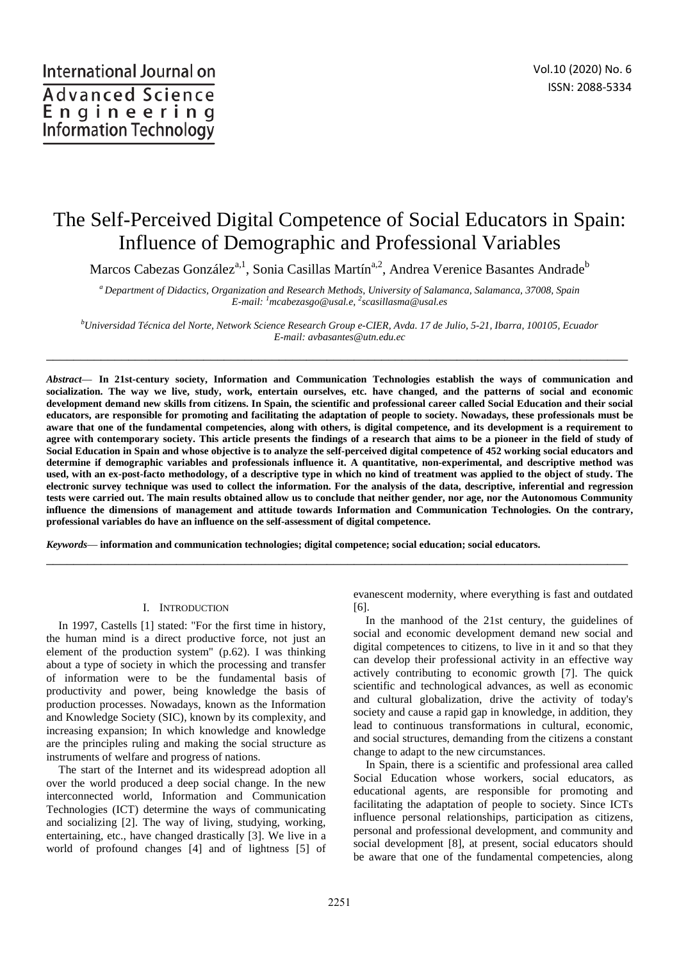# The Self-Perceived Digital Competence of Social Educators in Spain: Influence of Demographic and Professional Variables

Marcos Cabezas González<sup>a,1</sup>, Sonia Casillas Martín<sup>a,2</sup>, Andrea Verenice Basantes Andrade<sup>b</sup>

*<sup>a</sup>Department of Didactics, Organization and Research Methods, University of Salamanca, Salamanca, 37008, Spain E-mail: <sup>1</sup>mcabezasgo@usal.e, <sup>2</sup> scasillasma@usal.es* 

*<sup>b</sup>Universidad Técnica del Norte, Network Science Research Group e-CIER, Avda. 17 de Julio, 5-21, Ibarra, 100105, Ecuador E-mail: avbasantes@utn.edu.ec* 

\_\_\_\_\_\_\_\_\_\_\_\_\_\_\_\_\_\_\_\_\_\_\_\_\_\_\_\_\_\_\_\_\_\_\_\_\_\_\_\_\_\_\_\_\_\_\_\_\_\_\_\_\_\_\_\_\_\_\_\_\_\_\_\_\_\_\_\_\_\_\_\_\_\_\_\_\_\_\_\_\_\_\_\_\_

*Abstract*— **In 21st-century society, Information and Communication Technologies establish the ways of communication and socialization. The way we live, study, work, entertain ourselves, etc. have changed, and the patterns of social and economic development demand new skills from citizens. In Spain, the scientific and professional career called Social Education and their social educators, are responsible for promoting and facilitating the adaptation of people to society. Nowadays, these professionals must be aware that one of the fundamental competencies, along with others, is digital competence, and its development is a requirement to agree with contemporary society. This article presents the findings of a research that aims to be a pioneer in the field of study of Social Education in Spain and whose objective is to analyze the self-perceived digital competence of 452 working social educators and determine if demographic variables and professionals influence it. A quantitative, non-experimental, and descriptive method was used, with an ex-post-facto methodology, of a descriptive type in which no kind of treatment was applied to the object of study. The electronic survey technique was used to collect the information. For the analysis of the data, descriptive, inferential and regression tests were carried out. The main results obtained allow us to conclude that neither gender, nor age, nor the Autonomous Community influence the dimensions of management and attitude towards Information and Communication Technologies. On the contrary, professional variables do have an influence on the self-assessment of digital competence.** 

\_\_\_\_\_\_\_\_\_\_\_\_\_\_\_\_\_\_\_\_\_\_\_\_\_\_\_\_\_\_\_\_\_\_\_\_\_\_\_\_\_\_\_\_\_\_\_\_\_\_\_\_\_\_\_\_\_\_\_\_\_\_\_\_\_\_\_\_\_\_\_\_\_\_\_\_\_\_\_\_\_\_\_\_\_

*Keywords*— **information and communication technologies; digital competence; social education; social educators.** 

#### I. INTRODUCTION

In 1997, Castells [1] stated: "For the first time in history, the human mind is a direct productive force, not just an element of the production system" (p.62). I was thinking about a type of society in which the processing and transfer of information were to be the fundamental basis of productivity and power, being knowledge the basis of production processes. Nowadays, known as the Information and Knowledge Society (SIC), known by its complexity, and increasing expansion; In which knowledge and knowledge are the principles ruling and making the social structure as instruments of welfare and progress of nations.

The start of the Internet and its widespread adoption all over the world produced a deep social change. In the new interconnected world, Information and Communication Technologies (ICT) determine the ways of communicating and socializing [2]. The way of living, studying, working, entertaining, etc., have changed drastically [3]. We live in a world of profound changes [4] and of lightness [5] of evanescent modernity, where everything is fast and outdated [6].

In the manhood of the 21st century, the guidelines of social and economic development demand new social and digital competences to citizens, to live in it and so that they can develop their professional activity in an effective way actively contributing to economic growth [7]. The quick scientific and technological advances, as well as economic and cultural globalization, drive the activity of today's society and cause a rapid gap in knowledge, in addition, they lead to continuous transformations in cultural, economic, and social structures, demanding from the citizens a constant change to adapt to the new circumstances.

In Spain, there is a scientific and professional area called Social Education whose workers, social educators, as educational agents, are responsible for promoting and facilitating the adaptation of people to society. Since ICTs influence personal relationships, participation as citizens, personal and professional development, and community and social development [8], at present, social educators should be aware that one of the fundamental competencies, along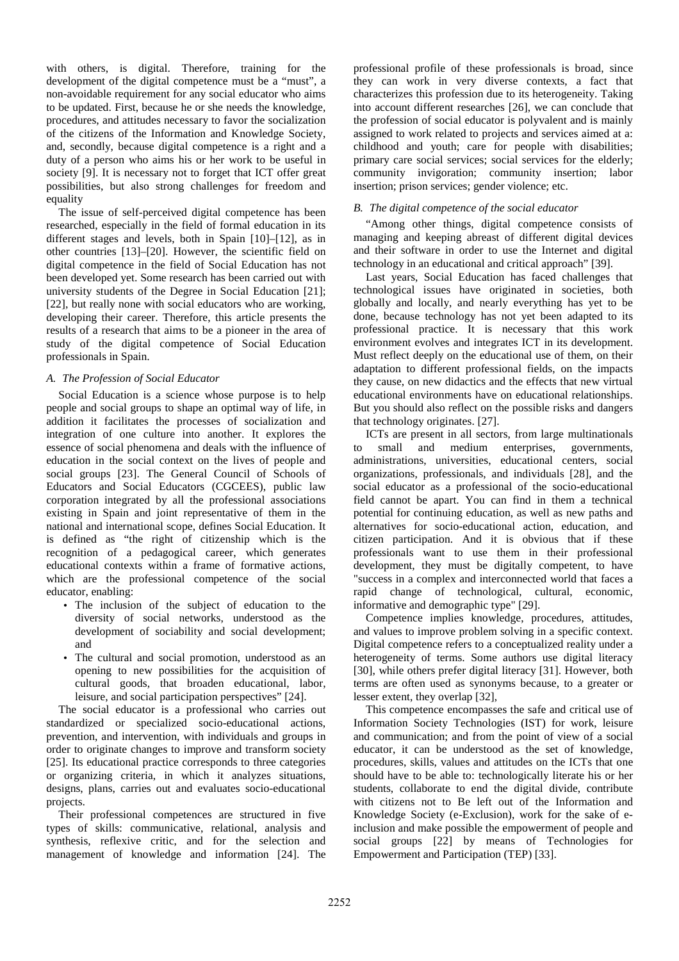with others, is digital. Therefore, training for the development of the digital competence must be a "must", a non-avoidable requirement for any social educator who aims to be updated. First, because he or she needs the knowledge, procedures, and attitudes necessary to favor the socialization of the citizens of the Information and Knowledge Society, and, secondly, because digital competence is a right and a duty of a person who aims his or her work to be useful in society [9]. It is necessary not to forget that ICT offer great possibilities, but also strong challenges for freedom and equality

The issue of self-perceived digital competence has been researched, especially in the field of formal education in its different stages and levels, both in Spain [10]–[12], as in other countries [13]–[20]. However, the scientific field on digital competence in the field of Social Education has not been developed yet. Some research has been carried out with university students of the Degree in Social Education [21]; [22], but really none with social educators who are working, developing their career. Therefore, this article presents the results of a research that aims to be a pioneer in the area of study of the digital competence of Social Education professionals in Spain.

## *A. The Profession of Social Educator*

Social Education is a science whose purpose is to help people and social groups to shape an optimal way of life, in addition it facilitates the processes of socialization and integration of one culture into another. It explores the essence of social phenomena and deals with the influence of education in the social context on the lives of people and social groups [23]. The General Council of Schools of Educators and Social Educators (CGCEES), public law corporation integrated by all the professional associations existing in Spain and joint representative of them in the national and international scope, defines Social Education. It is defined as "the right of citizenship which is the recognition of a pedagogical career, which generates educational contexts within a frame of formative actions, which are the professional competence of the social educator, enabling:

- The inclusion of the subject of education to the diversity of social networks, understood as the development of sociability and social development; and
- The cultural and social promotion, understood as an opening to new possibilities for the acquisition of cultural goods, that broaden educational, labor, leisure, and social participation perspectives" [24].

The social educator is a professional who carries out standardized or specialized socio-educational actions, prevention, and intervention, with individuals and groups in order to originate changes to improve and transform society [25]. Its educational practice corresponds to three categories or organizing criteria, in which it analyzes situations, designs, plans, carries out and evaluates socio-educational projects.

Their professional competences are structured in five types of skills: communicative, relational, analysis and synthesis, reflexive critic, and for the selection and management of knowledge and information [24]. The

professional profile of these professionals is broad, since they can work in very diverse contexts, a fact that characterizes this profession due to its heterogeneity. Taking into account different researches [26], we can conclude that the profession of social educator is polyvalent and is mainly assigned to work related to projects and services aimed at a: childhood and youth; care for people with disabilities; primary care social services; social services for the elderly; community invigoration; community insertion; labor insertion; prison services; gender violence; etc.

# *B. The digital competence of the social educator*

"Among other things, digital competence consists of managing and keeping abreast of different digital devices and their software in order to use the Internet and digital technology in an educational and critical approach" [39].

Last years, Social Education has faced challenges that technological issues have originated in societies, both globally and locally, and nearly everything has yet to be done, because technology has not yet been adapted to its professional practice. It is necessary that this work environment evolves and integrates ICT in its development. Must reflect deeply on the educational use of them, on their adaptation to different professional fields, on the impacts they cause, on new didactics and the effects that new virtual educational environments have on educational relationships. But you should also reflect on the possible risks and dangers that technology originates. [27].

ICTs are present in all sectors, from large multinationals to small and medium enterprises, governments, administrations, universities, educational centers, social organizations, professionals, and individuals [28], and the social educator as a professional of the socio-educational field cannot be apart. You can find in them a technical potential for continuing education, as well as new paths and alternatives for socio-educational action, education, and citizen participation. And it is obvious that if these professionals want to use them in their professional development, they must be digitally competent, to have "success in a complex and interconnected world that faces a rapid change of technological, cultural, economic, informative and demographic type" [29].

Competence implies knowledge, procedures, attitudes, and values to improve problem solving in a specific context. Digital competence refers to a conceptualized reality under a heterogeneity of terms. Some authors use digital literacy [30], while others prefer digital literacy [31]. However, both terms are often used as synonyms because, to a greater or lesser extent, they overlap [32],

This competence encompasses the safe and critical use of Information Society Technologies (IST) for work, leisure and communication; and from the point of view of a social educator, it can be understood as the set of knowledge, procedures, skills, values and attitudes on the ICTs that one should have to be able to: technologically literate his or her students, collaborate to end the digital divide, contribute with citizens not to Be left out of the Information and Knowledge Society (e-Exclusion), work for the sake of einclusion and make possible the empowerment of people and social groups [22] by means of Technologies for Empowerment and Participation (TEP) [33].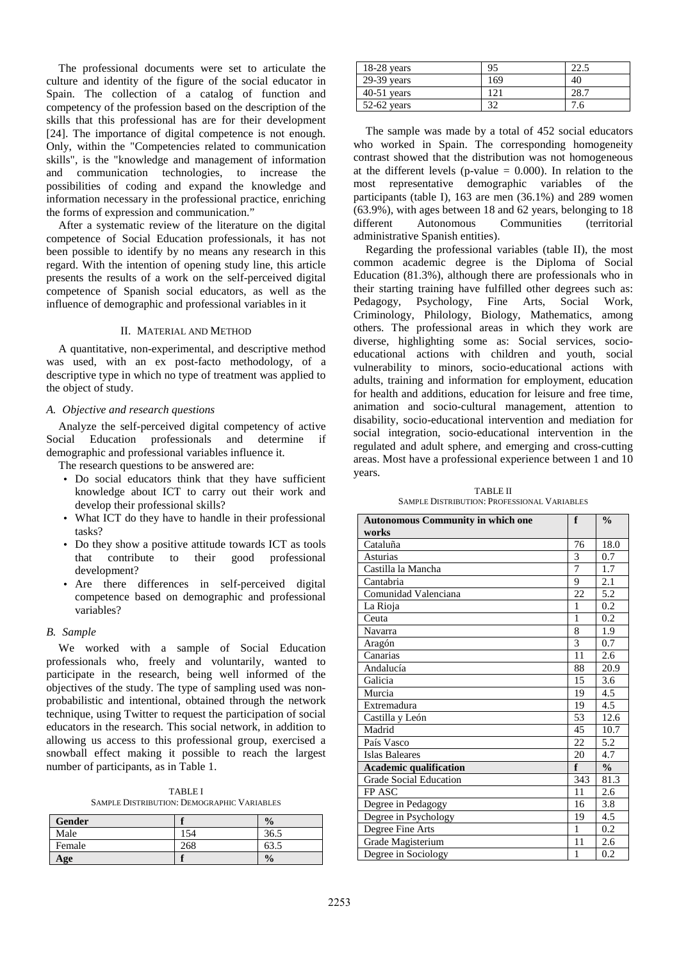The professional documents were set to articulate the culture and identity of the figure of the social educator in Spain. The collection of a catalog of function and competency of the profession based on the description of the skills that this professional has are for their development [24]. The importance of digital competence is not enough. Only, within the "Competencies related to communication skills", is the "knowledge and management of information and communication technologies, to increase the possibilities of coding and expand the knowledge and information necessary in the professional practice, enriching the forms of expression and communication."

After a systematic review of the literature on the digital competence of Social Education professionals, it has not been possible to identify by no means any research in this regard. With the intention of opening study line, this article presents the results of a work on the self-perceived digital competence of Spanish social educators, as well as the influence of demographic and professional variables in it

## II. MATERIAL AND METHOD

A quantitative, non-experimental, and descriptive method was used, with an ex post-facto methodology, of a descriptive type in which no type of treatment was applied to the object of study.

#### *A. Objective and research questions*

Analyze the self-perceived digital competency of active Social Education professionals and determine if demographic and professional variables influence it.

The research questions to be answered are:

- Do social educators think that they have sufficient knowledge about ICT to carry out their work and develop their professional skills?
- What ICT do they have to handle in their professional tasks?
- Do they show a positive attitude towards ICT as tools that contribute to their good professional development?
- Are there differences in self-perceived digital competence based on demographic and professional variables?

## *B. Sample*

We worked with a sample of Social Education professionals who, freely and voluntarily, wanted to participate in the research, being well informed of the objectives of the study. The type of sampling used was nonprobabilistic and intentional, obtained through the network technique, using Twitter to request the participation of social educators in the research. This social network, in addition to allowing us access to this professional group, exercised a snowball effect making it possible to reach the largest number of participants, as in Table 1.

TABLE I SAMPLE DISTRIBUTION: DEMOGRAPHIC VARIABLES

| <b>Gender</b> |     | $\frac{0}{0}$ |
|---------------|-----|---------------|
| Male          | 154 | 36.5          |
| Female        | 268 | 63.5          |
| Age           |     | $\frac{0}{0}$ |

| $18-28$ years | 95  | 22.1 |
|---------------|-----|------|
| $29-39$ years | 169 | 40   |
| $40-51$ years | (2) | 28.7 |
| $52-62$ years | 37  | 7.6  |

The sample was made by a total of 452 social educators who worked in Spain. The corresponding homogeneity contrast showed that the distribution was not homogeneous at the different levels (p-value  $= 0.000$ ). In relation to the most representative demographic variables of the participants (table I), 163 are men (36.1%) and 289 women (63.9%), with ages between 18 and 62 years, belonging to 18 different Autonomous Communities (territorial administrative Spanish entities).

Regarding the professional variables (table II), the most common academic degree is the Diploma of Social Education (81.3%), although there are professionals who in their starting training have fulfilled other degrees such as:<br>Pedagogy, Psychology, Fine Arts, Social Work. Pedagogy, Psychology, Fine Arts, Social Work, Criminology, Philology, Biology, Mathematics, among others. The professional areas in which they work are diverse, highlighting some as: Social services, socioeducational actions with children and youth, social vulnerability to minors, socio-educational actions with adults, training and information for employment, education for health and additions, education for leisure and free time, animation and socio-cultural management, attention to disability, socio-educational intervention and mediation for social integration, socio-educational intervention in the regulated and adult sphere, and emerging and cross-cutting areas. Most have a professional experience between 1 and 10 years.

TABLE II SAMPLE DISTRIBUTION: PROFESSIONAL VARIABLES

| <b>Autonomous Community in which one</b> | f   | $\frac{0}{\alpha}$ |
|------------------------------------------|-----|--------------------|
| works                                    |     |                    |
| Cataluña                                 | 76  | 18.0               |
| <b>Asturias</b>                          | 3   | 0.7                |
| Castilla la Mancha                       | 7   | 1.7                |
| Cantabria                                | 9   | 2.1                |
| Comunidad Valenciana                     | 22  | 5.2                |
| La Rioja                                 | 1   | 0.2                |
| Ceuta                                    | 1   | 0.2                |
| Navarra                                  | 8   | 1.9                |
| Aragón                                   | 3   | 0.7                |
| Canarias                                 | 11  | 2.6                |
| Andalucía                                | 88  | 20.9               |
| Galicia                                  | 15  | 3.6                |
| Murcia                                   | 19  | 4.5                |
| Extremadura                              | 19  | 4.5                |
| Castilla y León                          | 53  | 12.6               |
| Madrid                                   | 45  | 10.7               |
| País Vasco                               | 22  | 5.2                |
| <b>Islas Baleares</b>                    | 20  | 4.7                |
| <b>Academic qualification</b>            | f   | $\frac{0}{0}$      |
| <b>Grade Social Education</b>            | 343 | 81.3               |
| FP ASC                                   | 11  | 2.6                |
| Degree in Pedagogy                       | 16  | 3.8                |
| Degree in Psychology                     | 19  | 4.5                |
| Degree Fine Arts                         | 1   | 0.2                |
| Grade Magisterium                        | 11  | 2.6                |
| Degree in Sociology                      | 1   | 0.2                |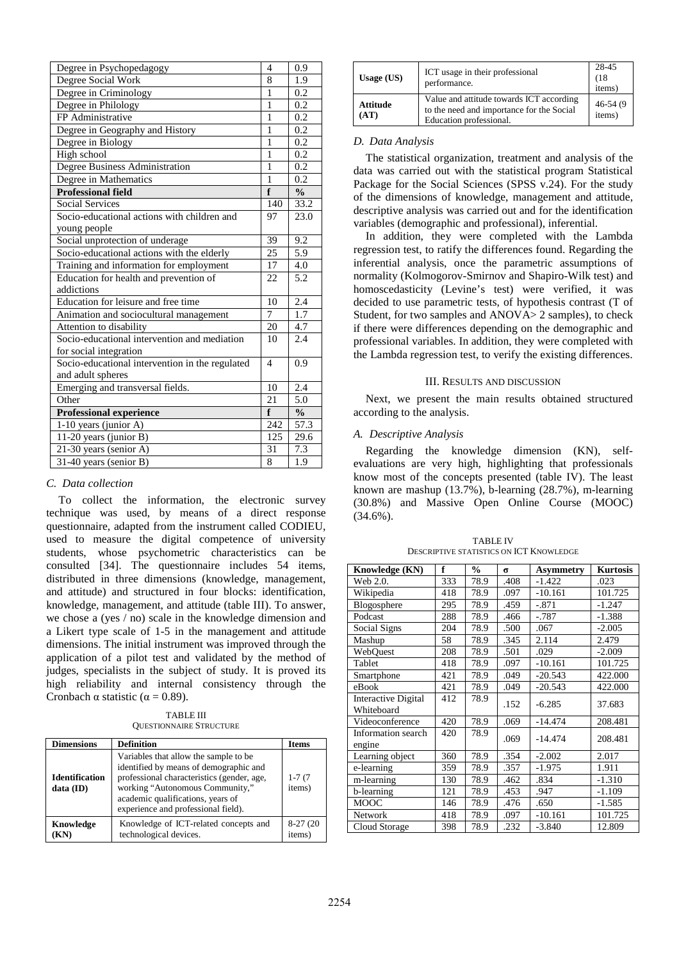| Degree in Psychopedagogy                        | 4              | 0.9           |
|-------------------------------------------------|----------------|---------------|
| Degree Social Work                              | 8              | 1.9           |
| Degree in Criminology                           | $\mathbf{1}$   | 0.2           |
| Degree in Philology                             | 1              | 0.2           |
| FP Administrative                               | 1              | 0.2           |
| Degree in Geography and History                 | 1              | 0.2           |
| Degree in Biology                               | $\mathbf{1}$   | 0.2           |
| High school                                     | 1              | 0.2           |
| Degree Business Administration                  | 1              | 0.2           |
| Degree in Mathematics                           | 1              | 0.2           |
| <b>Professional field</b>                       | f              | $\frac{0}{0}$ |
| <b>Social Services</b>                          | 140            | 33.2          |
| Socio-educational actions with children and     | 97             | 23.0          |
| young people                                    |                |               |
| Social unprotection of underage                 | 39             | 9.2           |
| Socio-educational actions with the elderly      | 25             | 5.9           |
| Training and information for employment         | 17             | 4.0           |
| Education for health and prevention of          | 22             | 5.2           |
| addictions                                      |                |               |
| Education for leisure and free time             | 10             | 2.4           |
| Animation and sociocultural management          | 7              | 1.7           |
| Attention to disability                         | 20             | 4.7           |
| Socio-educational intervention and mediation    | 10             | 2.4           |
| for social integration                          |                |               |
| Socio-educational intervention in the regulated | $\overline{4}$ | 0.9           |
| and adult spheres                               |                |               |
| Emerging and transversal fields.                | 10             | 2.4           |
| Other                                           | 21             | 5.0           |
| <b>Professional experience</b>                  | f              | $\frac{0}{0}$ |
| 1-10 years (junior A)                           | 242            | 57.3          |
| 11-20 years (junior B)                          | 125            | 29.6          |
| 21-30 years (senior A)                          | 31             | 7.3           |
| 31-40 years (senior B)                          | 8              | 1.9           |

## *C. Data collection*

To collect the information, the electronic survey technique was used, by means of a direct response questionnaire, adapted from the instrument called CODIEU, used to measure the digital competence of university students, whose psychometric characteristics can be consulted [34]. The questionnaire includes 54 items, distributed in three dimensions (knowledge, management, and attitude) and structured in four blocks: identification, knowledge, management, and attitude (table III). To answer, we chose a (yes / no) scale in the knowledge dimension and a Likert type scale of 1-5 in the management and attitude dimensions. The initial instrument was improved through the application of a pilot test and validated by the method of judges, specialists in the subject of study. It is proved its high reliability and internal consistency through the Cronbach  $\alpha$  statistic ( $\alpha$  = 0.89).

TABLE III QUESTIONNAIRE STRUCTURE

| <b>Dimensions</b>                  | <b>Definition</b>                                                                                                                                                                                                                             | <b>Items</b>         |
|------------------------------------|-----------------------------------------------------------------------------------------------------------------------------------------------------------------------------------------------------------------------------------------------|----------------------|
| <b>Identification</b><br>data (ID) | Variables that allow the sample to be.<br>identified by means of demographic and<br>professional characteristics (gender, age,<br>working "Autonomous Community,"<br>academic qualifications, years of<br>experience and professional field). | $1 - 7(7)$<br>items) |
| Knowledge<br>$\mathbf{N}$          | Knowledge of ICT-related concepts and<br>technological devices.                                                                                                                                                                               | $8-27(20)$<br>items) |

| Usage $(US)$     | ICT usage in their professional<br>performance.                                                                  | 28-45<br>(18)<br>items) |
|------------------|------------------------------------------------------------------------------------------------------------------|-------------------------|
| Attitude<br>(AT) | Value and attitude towards ICT according<br>to the need and importance for the Social<br>Education professional. | $46-54(9)$<br>items)    |

## *D. Data Analysis*

The statistical organization, treatment and analysis of the data was carried out with the statistical program Statistical Package for the Social Sciences (SPSS v.24). For the study of the dimensions of knowledge, management and attitude, descriptive analysis was carried out and for the identification variables (demographic and professional), inferential.

In addition, they were completed with the Lambda regression test, to ratify the differences found. Regarding the inferential analysis, once the parametric assumptions of normality (Kolmogorov-Smirnov and Shapiro-Wilk test) and homoscedasticity (Levine's test) were verified, it was decided to use parametric tests, of hypothesis contrast (T of Student, for two samples and ANOVA> 2 samples), to check if there were differences depending on the demographic and professional variables. In addition, they were completed with the Lambda regression test, to verify the existing differences.

## III. RESULTS AND DISCUSSION

Next, we present the main results obtained structured according to the analysis.

#### *A. Descriptive Analysis*

Regarding the knowledge dimension (KN), selfevaluations are very high, highlighting that professionals know most of the concepts presented (table IV). The least known are mashup (13.7%), b-learning (28.7%), m-learning (30.8%) and Massive Open Online Course (MOOC) (34.6%).

| <b>TABLE IV</b>                                |
|------------------------------------------------|
| <b>DESCRIPTIVE STATISTICS ON ICT KNOWLEDGE</b> |

| Knowledge (KN)             | f   | $\frac{0}{0}$ | $\sigma$ | <b>Asymmetry</b> | <b>Kurtosis</b> |
|----------------------------|-----|---------------|----------|------------------|-----------------|
| Web 2.0.                   | 333 | 78.9          | .408     | $-1.422$         | .023            |
| Wikipedia                  | 418 | 78.9          | .097     | $-10.161$        | 101.725         |
| Blogosphere                | 295 | 78.9          | .459     | $-.871$          | $-1.247$        |
| Podcast                    | 288 | 78.9          | .466     | $-.787$          | $-1.388$        |
| Social Signs               | 204 | 78.9          | .500     | .067             | $-2.005$        |
| Mashup                     | 58  | 78.9          | .345     | 2.114            | 2.479           |
| WebQuest                   | 208 | 78.9          | .501     | .029             | $-2.009$        |
| Tablet                     | 418 | 78.9          | .097     | $-10.161$        | 101.725         |
| Smartphone                 | 421 | 78.9          | .049     | $-20.543$        | 422.000         |
| eBook                      | 421 | 78.9          | .049     | $-20.543$        | 422.000         |
| <b>Interactive Digital</b> | 412 | 78.9          | .152     | $-6.285$         | 37.683          |
| Whiteboard                 |     |               |          |                  |                 |
| Videoconference            | 420 | 78.9          | .069     | $-14.474$        | 208.481         |
| Information search         | 420 | 78.9          | .069     | $-14.474$        | 208.481         |
| engine                     |     |               |          |                  |                 |
| Learning object            | 360 | 78.9          | .354     | $-2.002$         | 2.017           |
| e-learning                 | 359 | 78.9          | .357     | $-1.975$         | 1.911           |
| m-learning                 | 130 | 78.9          | .462     | .834             | $-1.310$        |
| b-learning                 | 121 | 78.9          | .453     | .947             | $-1.109$        |
| <b>MOOC</b>                | 146 | 78.9          | .476     | .650             | $-1.585$        |
| Network                    | 418 | 78.9          | .097     | $-10.161$        | 101.725         |
| Cloud Storage              | 398 | 78.9          | .232     | $-3.840$         | 12.809          |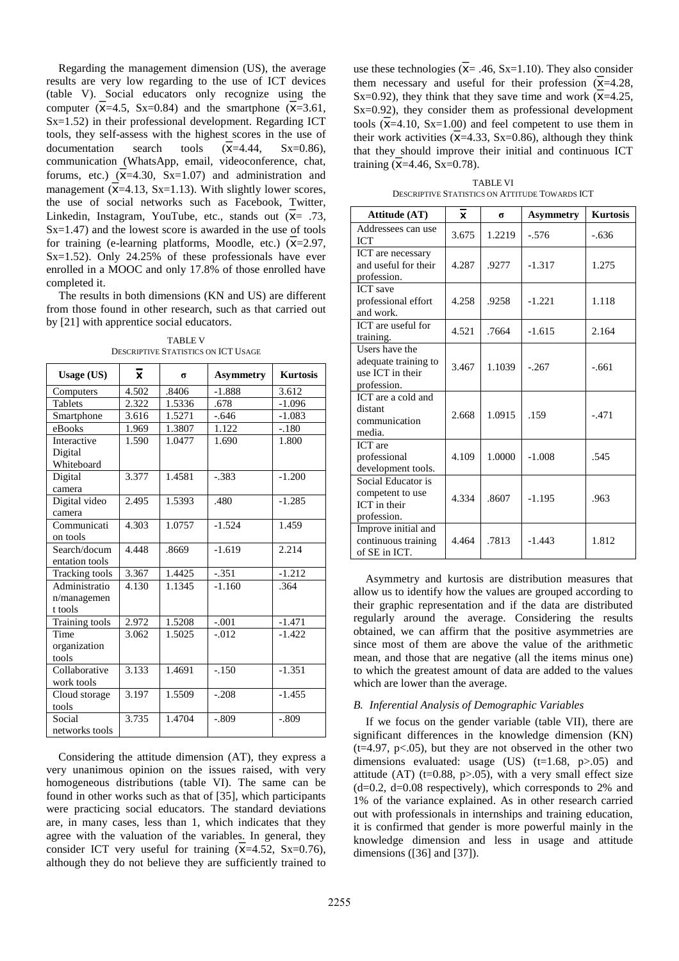Regarding the management dimension (US), the average results are very low regarding to the use of ICT devices (table V). Social educators only recognize using the computer  $(\overline{x}=4.5, Sx=0.84)$  and the smartphone  $(\overline{x}=3.61, Sx=0.84)$ Sx=1.52) in their professional development. Regarding ICT tools, they self-assess with the highest scores in the use of documentation search tools  $(\overline{x}=4.44, Sx=0.86)$ , communication (WhatsApp, email, videoconference, chat, forums, etc.)  $(X=4.30, Sx=1.07)$  and administration and management  $(\overline{x} = 4.13, Sx = 1.13)$ . With slightly lower scores, the use of social networks such as Facebook, Twitter, Linkedin, Instagram, YouTube, etc., stands out  $(\overline{x}) = .73$ , Sx=1.47) and the lowest score is awarded in the use of tools for training (e-learning platforms, Moodle, etc.)  $(\overline{x} = 2.97,$ Sx=1.52). Only  $24.25\%$  of these professionals have ever enrolled in a MOOC and only 17.8% of those enrolled have completed it.

The results in both dimensions (KN and US) are different from those found in other research, such as that carried out by [21] with apprentice social educators.

TABLE V DESCRIPTIVE STATISTICS ON ICT USAGE

| <b>Usage (US)</b> | $\overline{\mathbf{x}}$ | σ      | <b>Asymmetry</b> | <b>Kurtosis</b> |
|-------------------|-------------------------|--------|------------------|-----------------|
| Computers         | 4.502                   | .8406  | $-1.888$         | 3.612           |
| <b>Tablets</b>    | 2.322                   | 1.5336 | .678             | $-1.096$        |
| Smartphone        | 3.616                   | 1.5271 | $-.646$          | $-1.083$        |
| eBooks            | 1.969                   | 1.3807 | 1.122            | $-.180$         |
| Interactive       | 1.590                   | 1.0477 | 1.690            | 1.800           |
| Digital           |                         |        |                  |                 |
| Whiteboard        |                         |        |                  |                 |
| Digital           | 3.377                   | 1.4581 | $-.383$          | $-1.200$        |
| camera            |                         |        |                  |                 |
| Digital video     | 2.495                   | 1.5393 | .480             | $-1.285$        |
| camera            |                         |        |                  |                 |
| Communicati       | 4.303                   | 1.0757 | $-1.524$         | 1.459           |
| on tools          |                         |        |                  |                 |
| Search/docum      | 4.448                   | .8669  | $-1.619$         | 2.214           |
| entation tools    |                         |        |                  |                 |
| Tracking tools    | 3.367                   | 1.4425 | $-.351$          | $-1.212$        |
| Administratio     | 4.130                   | 1.1345 | $-1.160$         | .364            |
| n/managemen       |                         |        |                  |                 |
| t tools           |                         |        |                  |                 |
| Training tools    | 2.972                   | 1.5208 | $-.001$          | $-1.471$        |
| Time              | 3.062                   | 1.5025 | $-.012$          | $-1.422$        |
| organization      |                         |        |                  |                 |
| tools             |                         |        |                  |                 |
| Collaborative     | 3.133                   | 1.4691 | $-.150$          | $-1.351$        |
| work tools        |                         |        |                  |                 |
| Cloud storage     | 3.197                   | 1.5509 | $-.208$          | $-1.455$        |
| tools             |                         |        |                  |                 |
| Social            | 3.735                   | 1.4704 | $-.809$          | $-.809$         |
| networks tools    |                         |        |                  |                 |

Considering the attitude dimension (AT), they express a very unanimous opinion on the issues raised, with very homogeneous distributions (table VI). The same can be found in other works such as that of [35], which participants were practicing social educators. The standard deviations are, in many cases, less than 1, which indicates that they agree with the valuation of the variables. In general, they consider ICT very useful for training  $(X=4.52, Sx=0.76)$ , although they do not believe they are sufficiently trained to

use these technologies ( $\bar{x}$ = .46, Sx=1.10). They also consider them necessary and useful for their profession  $\overline{X}$ =4.28, Sx=0.92), they think that they save time and work  $(\overline{X}$ =4.25, Sx=0.92), they consider them as professional development tools  $(\overline{x} = 4.10, Sx = 1.00)$  and feel competent to use them in their work activities  $(\bar{x}=4.33, Sx=0.86)$ , although they think that they should improve their initial and continuous ICT training  $(X=4.46, Sx=0.78)$ .

TABLE VI DESCRIPTIVE STATISTICS ON ATTITUDE TOWARDS ICT

| Attitude (AT)                                                                | $\overline{\mathbf{x}}$ | σ      | <b>Asymmetry</b> | <b>Kurtosis</b> |
|------------------------------------------------------------------------------|-------------------------|--------|------------------|-----------------|
| Addressees can use<br>ICT                                                    | 3.675                   | 1.2219 | $-.576$          | $-.636$         |
| ICT are necessary<br>and useful for their<br>profession.                     | 4.287                   | .9277  | $-1.317$         | 1.275           |
| <b>ICT</b> save<br>professional effort<br>and work.                          | 4.258                   | .9258  | $-1.221$         | 1.118           |
| ICT are useful for<br>training.                                              | 4.521                   | .7664  | $-1.615$         | 2.164           |
| Users have the<br>adequate training to<br>use ICT in their<br>profession.    | 3.467                   | 1.1039 | $-.267$          | $-.661$         |
| ICT are a cold and<br>distant<br>communication<br>media.                     | 2.668                   | 1.0915 | .159             | $-.471$         |
| <b>ICT</b> are<br>professional<br>development tools.                         | 4.109                   | 1.0000 | $-1.008$         | .545            |
| Social Educator is<br>competent to use<br><b>ICT</b> in their<br>profession. | 4.334                   | .8607  | $-1.195$         | .963            |
| Improve initial and<br>continuous training<br>of SE in ICT.                  | 4.464                   | .7813  | $-1.443$         | 1.812           |

Asymmetry and kurtosis are distribution measures that allow us to identify how the values are grouped according to their graphic representation and if the data are distributed regularly around the average. Considering the results obtained, we can affirm that the positive asymmetries are since most of them are above the value of the arithmetic mean, and those that are negative (all the items minus one) to which the greatest amount of data are added to the values which are lower than the average.

## *B. Inferential Analysis of Demographic Variables*

If we focus on the gender variable (table VII), there are significant differences in the knowledge dimension (KN)  $(t=4.97, p<.05)$ , but they are not observed in the other two dimensions evaluated: usage  $(US)$   $(t=1.68, p>0.05)$  and attitude (AT) (t=0.88, p>.05), with a very small effect size  $(d=0.2, d=0.08$  respectively), which corresponds to 2% and 1% of the variance explained. As in other research carried out with professionals in internships and training education, it is confirmed that gender is more powerful mainly in the knowledge dimension and less in usage and attitude dimensions ([36] and [37]).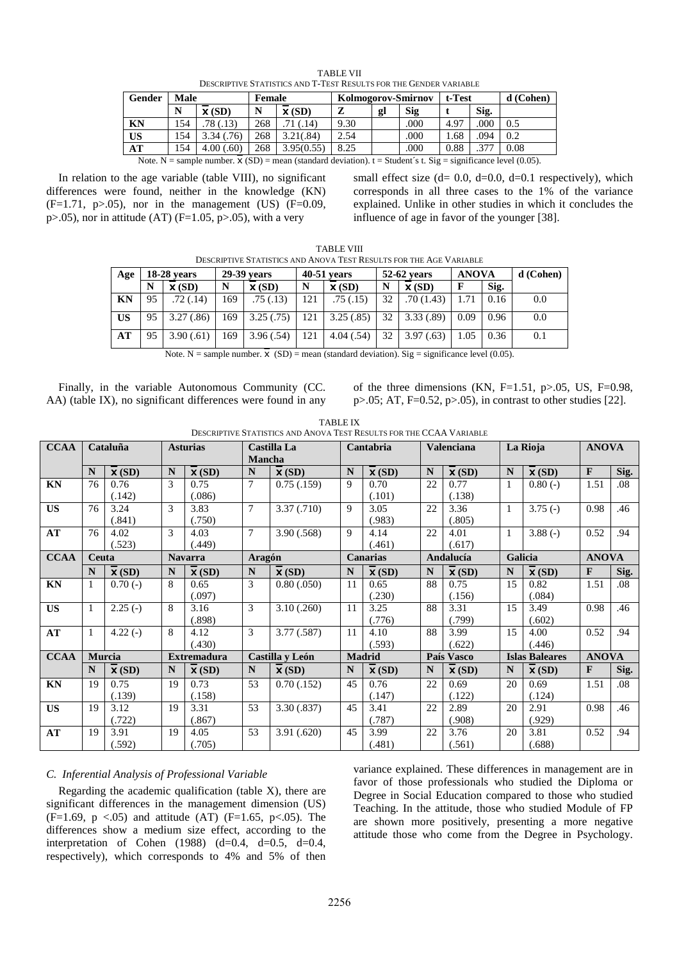| DESCRIPTIVE STATISTICS AND THEST INESCENS FOR THE OENDER VARIABLE |                                                                                                                           |                   |        |                   |                    |    |      |        |      |           |
|-------------------------------------------------------------------|---------------------------------------------------------------------------------------------------------------------------|-------------------|--------|-------------------|--------------------|----|------|--------|------|-----------|
| Gender                                                            | Male                                                                                                                      |                   | Female |                   | Kolmogorov-Smirnov |    |      | t-Test |      | d (Cohen) |
|                                                                   | N                                                                                                                         | $\mathbf{x}$ (SD) | N      | $\mathbf{X}$ (SD) | z                  | gl | Sig  |        | Sig. |           |
| <b>KN</b>                                                         | 154                                                                                                                       | .78 (.13)         | 268    | .71(.14)          | 9.30               |    | .000 | 4.97   | .000 | 0.5       |
| <b>US</b>                                                         | 154                                                                                                                       | 3.34(0.76)        | 268    | 3.21(.84)         | 2.54               |    | .000 | 1.68   | .094 | 0.2       |
| AT                                                                | 154                                                                                                                       | 4.00(.60)         | 268    | 3.95(0.55)        | 8.25               |    | .000 | 0.88   | .377 | 0.08      |
|                                                                   | Note. N = sample number. $\mathbf{x}$ (SD) = mean (standard deviation). t = Student's t. Sig = significance level (0.05). |                   |        |                   |                    |    |      |        |      |           |

TABLE VII DESCRIPTIVE STATISTICS AND T-TEST RESULTS FOR THE GENDER VARIABLE

In relation to the age variable (table VIII), no significant differences were found, neither in the knowledge (KN)  $(F=1.71, p>0.05)$ , nor in the management (US)  $(F=0.09, p=0.05)$  $p>0.05$ ), nor in attitude (AT) (F=1.05,  $p>0.05$ ), with a very

small effect size  $(d= 0.0, d=0.0, d=0.1$  respectively), which corresponds in all three cases to the 1% of the variance explained. Unlike in other studies in which it concludes the influence of age in favor of the younger [38].

| <b>TABLE VIII</b>                                                  |  |
|--------------------------------------------------------------------|--|
| DESCRIPTIVE STATISTICS AND ANOVA TEST RESULTS FOR THE AGE VARIABLE |  |

| Age       | $18-28$ vears |                   | 29-39 years |                   |     | $40-51$ years     |                 | 52-62 years       | <b>ANOVA</b> |      | $d$ (Cohen) |
|-----------|---------------|-------------------|-------------|-------------------|-----|-------------------|-----------------|-------------------|--------------|------|-------------|
|           | N             | $\mathbf{x}$ (SD) | N           | $\mathbf{X}$ (SD) | N   | $\mathbf{X}$ (SD) | N               | $\mathbf{X}$ (SD) |              | Sig. |             |
| <b>KN</b> | 95            | .72 (.14)         | 69          | .75(.13)          | 121 | .75(.15)          | 32              | .70(1.43)         | .71          | 0.16 | 0.0         |
| <b>US</b> | 95            | 3.27(.86)         | 69          | 3.25(.75)         | 121 | 3.25(.85)         | 32 <sup>1</sup> | 3.33(.89)         | 0.09         | 0.96 | 0.0         |
| AT        | 95            | 3.90(.61)         | .69         | 3.96(.54)         | 121 | 4.04(.54)         | 32              | 3.97(0.63)        | 1.05         | 0.36 | 0.1         |

Note. N = sample number.  $\overline{X}$  (SD) = mean (standard deviation). Sig = significance level (0.05).

Finally, in the variable Autonomous Community (CC. AA) (table IX), no significant differences were found in any of the three dimensions (KN,  $F=1.51$ ,  $p>0.05$ , US,  $F=0.98$ , p>.05; AT, F=0.52, p>.05), in contrast to other studies [22].

|  |          |  | .                                                                   |  |
|--|----------|--|---------------------------------------------------------------------|--|
|  | TABLE IX |  | DESCRIPTIVE STATISTICS AND ANOVA TEST RESULTS FOR THE CCAA VARIABLE |  |
|  |          |  |                                                                     |  |

| <b>CCAA</b> |              | Cataluña                     |               | <b>Asturias</b>              | <b>Mancha</b> | Castilla La                  |    | Cantabria                    |    | Valenciana                   |              | La Rioja                     | <b>ANOVA</b> |      |
|-------------|--------------|------------------------------|---------------|------------------------------|---------------|------------------------------|----|------------------------------|----|------------------------------|--------------|------------------------------|--------------|------|
|             | N            | $\overline{\mathbf{x}}$ (SD) | N             | $\overline{\mathbf{x}}$ (SD) | $\mathbf N$   | $\overline{\mathbf{x}}$ (SD) | N  | $\overline{\mathbf{x}}$ (SD) | N  | $\overline{\mathbf{x}}$ (SD) | N            | $\overline{\mathbf{x}}$ (SD) | $\mathbf{F}$ | Sig. |
| KN          | 76           | 0.76                         | 3             | 0.75                         | 7             | 0.75(0.159)                  | 9  | 0.70                         | 22 | 0.77                         |              | $0.80(-)$                    | 1.51         | .08  |
|             |              | (.142)                       |               | (.086)                       |               |                              |    | (.101)                       |    | (.138)                       |              |                              |              |      |
| <b>US</b>   | 76           | 3.24                         | 3             | 3.83                         | $\tau$        | 3.37(.710)                   | 9  | 3.05                         | 22 | 3.36                         | $\mathbf{1}$ | $3.75(-)$                    | 0.98         | .46  |
|             |              | (.841)                       |               | (.750)                       |               |                              |    | (.983)                       |    | (.805)                       |              |                              |              |      |
| AT          | 76           | 4.02                         | $\mathcal{F}$ | 4.03                         | 7             | 3.90(.568)                   | 9  | 4.14                         | 22 | 4.01                         |              | $3.88(-)$                    | 0.52         | .94  |
|             |              | (.523)                       |               | (.449)                       |               |                              |    | (.461)                       |    | (.617)                       |              |                              |              |      |
| <b>CCAA</b> | Ceuta        |                              |               | <b>Navarra</b>               | <b>Aragón</b> |                              |    | <b>Canarias</b>              |    | Andalucía                    |              | Galicia                      | <b>ANOVA</b> |      |
|             | N            | $\overline{\mathbf{x}}$ (SD) | N             | $\overline{\mathbf{x}}$ (SD) | $\mathbf N$   | $\overline{\mathbf{x}}$ (SD) | N  | $\overline{\mathbf{x}}$ (SD) | N  | $\overline{\mathbf{x}}$ (SD) | N            | $\overline{\mathbf{x}}$ (SD) | $\mathbf{F}$ | Sig. |
| KN          | $\mathbf{1}$ | $0.70(-)$                    | 8             | 0.65                         | 3             | 0.80(.050)                   | 11 | 0.65                         | 88 | 0.75                         | 15           | 0.82                         | 1.51         | .08  |
|             |              |                              |               | (.097)                       |               |                              |    | (.230)                       |    | (.156)                       |              | (.084)                       |              |      |
| <b>US</b>   | 1            | $2.25(-)$                    | 8             | 3.16                         | 3             | 3.10(.260)                   | 11 | 3.25                         | 88 | 3.31                         | 15           | 3.49                         | 0.98         | .46  |
|             |              |                              |               | (.898)                       |               |                              |    | (.776)                       |    | (.799)                       |              | (.602)                       |              |      |
| AT          | 1            | $4.22(-)$                    | 8             | 4.12                         | 3             | 3.77 (.587)                  | 11 | 4.10                         | 88 | 3.99                         | 15           | 4.00                         | 0.52         | .94  |
|             |              |                              |               | (.430)                       |               |                              |    | (.593)                       |    | (.622)                       |              | (.446)                       |              |      |
| <b>CCAA</b> |              | <b>Murcia</b>                |               | <b>Extremadura</b>           |               | Castilla y León              |    | <b>Madrid</b>                |    | País Vasco                   |              | <b>Islas Baleares</b>        | <b>ANOVA</b> |      |
|             | N            | $\overline{\mathbf{x}}$ (SD) | N             | $\overline{\mathbf{x}}$ (SD) | $\mathbf N$   | $\overline{\mathbf{x}}$ (SD) | N  | $\overline{\mathbf{x}}$ (SD) | N  | $\mathbf{X}$ (SD)            | N            | $\overline{\mathbf{x}}$ (SD) | $\mathbf{F}$ | Sig. |
| KN          | 19           | 0.75                         | 19            | 0.73                         | 53            | 0.70(0.152)                  | 45 | 0.76                         | 22 | 0.69                         | 20           | 0.69                         | 1.51         | .08  |
|             |              | (.139)                       |               | (.158)                       |               |                              |    | (.147)                       |    | (.122)                       |              | (.124)                       |              |      |
| <b>US</b>   | 19           | 3.12                         | 19            | 3.31                         | 53            | 3.30(.837)                   | 45 | 3.41                         | 22 | 2.89                         | 20           | 2.91                         | 0.98         | .46  |
|             |              | (.722)                       |               | (.867)                       |               |                              |    | (.787)                       |    | (.908)                       |              | (.929)                       |              |      |
| AT          | 19           | 3.91                         | 19            | 4.05                         | 53            | 3.91(.620)                   | 45 | 3.99                         | 22 | 3.76                         | 20           | 3.81                         | 0.52         | .94  |
|             |              | (.592)                       |               | (.705)                       |               |                              |    | (.481)                       |    | (.561)                       |              | (.688)                       |              |      |

# *C. Inferential Analysis of Professional Variable*

Regarding the academic qualification (table  $X$ ), there are significant differences in the management dimension (US) (F=1.69, p <.05) and attitude (AT) (F=1.65, p<.05). The differences show a medium size effect, according to the interpretation of Cohen (1988) (d=0.4, d=0.5, d=0.4, respectively), which corresponds to 4% and 5% of then variance explained. These differences in management are in favor of those professionals who studied the Diploma or Degree in Social Education compared to those who studied Teaching. In the attitude, those who studied Module of FP are shown more positively, presenting a more negative attitude those who come from the Degree in Psychology.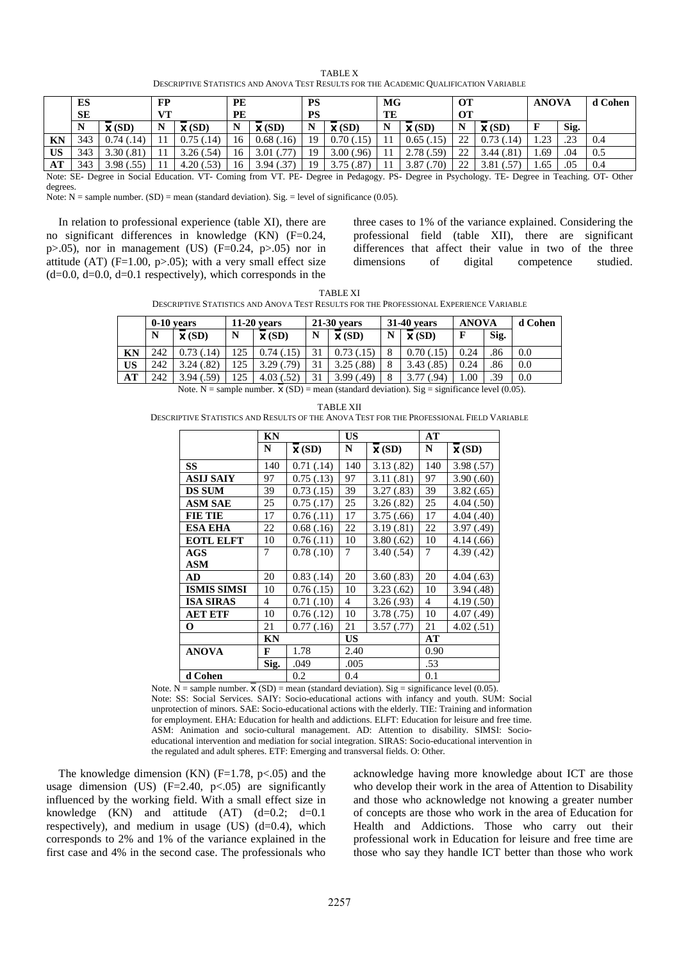| <b>TABLE X</b>                                                                        |  |
|---------------------------------------------------------------------------------------|--|
| DESCRIPTIVE STATISTICS AND ANOVA TEST RESULTS FOR THE ACADEMIC QUALIFICATION VARIABLE |  |

|           | ES<br><b>SE</b> |                                                                                                                                               | <b>FP</b><br><b>VT</b> |                   | PE<br>PE |                   | PS<br>PS |                   | МG<br>TE |                   | <b>OT</b><br>OТ |                   | <b>ANOVA</b> |      | d Cohen |
|-----------|-----------------|-----------------------------------------------------------------------------------------------------------------------------------------------|------------------------|-------------------|----------|-------------------|----------|-------------------|----------|-------------------|-----------------|-------------------|--------------|------|---------|
|           | N               | $\mathbf{X}$ (SD)                                                                                                                             | N                      | $\mathbf{X}$ (SD) | N        | $\mathbf{X}$ (SD) |          | $\mathbf{X}$ (SD) | N        | $\mathbf{X}$ (SD) | N               | $\mathbf{X}$ (SD) |              | Sig. |         |
| <b>KN</b> | 343             | 0.74(0.14)                                                                                                                                    |                        | 0.75(0.14)        | 16       | 0.68(.16)         | 19       | 0.70(0.15)        |          | 0.65(.15)         | 22              | 0.73(0.14)        | 1.23         | .23  | 0.4     |
| <b>US</b> | 343             | 3.30(.81)                                                                                                                                     |                        | 3.26(.54)         | 16       | $3.01$ $(.77)$    | 19       | 3.00(.96)         |          | 2.78(.59)         | 22              | 3.44 (.81)        | 1.69         | .04  | 0.5     |
| AT        | 343             | 3.98(.55)                                                                                                                                     |                        | 4.20(.53)         | 16       | 3.94(0.37)        | 19       | 3.75(.87)         |          | 3.87(0.70)        | 22              | 3.81(.57)         | 1.65         | .05  | 0.4     |
|           |                 | Note: SE- Degree in Social Education. VT- Coming from VT. PE- Degree in Pedagogy. PS- Degree in Psychology. TE- Degree in Teaching. OT- Other |                        |                   |          |                   |          |                   |          |                   |                 |                   |              |      |         |

degrees.

Note:  $N =$  sample number. (SD) = mean (standard deviation). Sig. = level of significance (0.05).

In relation to professional experience (table XI), there are no significant differences in knowledge (KN) (F=0.24, p $> 0.05$ ), nor in management (US) (F=0.24, p $> 0.05$ ) nor in attitude (AT) ( $F=1.00$ ,  $p>0.05$ ); with a very small effect size  $(d=0.0, d=0.0, d=0.1$  respectively), which corresponds in the

three cases to 1% of the variance explained. Considering the professional field (table XII), there are significant differences that affect their value in two of the three dimensions of digital competence studied.

| <b>TABLE XI</b>                                                                        |  |
|----------------------------------------------------------------------------------------|--|
| Descriptive Statistics and Anova Test Results for the Professional Experience Variable |  |

|    | $0-10$ years |                   | $11-20$ vears |                   | $21-30$ years |                   | 31-40 years |                       | <b>ANOVA</b> |      | d Cohen |
|----|--------------|-------------------|---------------|-------------------|---------------|-------------------|-------------|-----------------------|--------------|------|---------|
|    | N            | $\mathbf{X}$ (SD) | N             | $\mathbf{X}$ (SD) | N             | $\mathbf{X}$ (SD) | $\mathbf N$ | $\mathbf{X}$ (SD)     |              | Sig. |         |
| KN | 242          | (14)              | 125           | $0.74$ (.15)      | 31            |                   | 8           |                       | 0.24         | .86  | 0.0     |
| US | 242          | 0.24(0.82)        | 125           | 3.29(0.79)        | 31            | 3.25(.88)         | 8           | $.85^{\circ}$<br>3.43 | 0.24         | .86  | 0.0     |
| AT | 242          | .59)<br>3.94 (.   | 125           | 4.03 (.52)        | 31            | 3.99(0.49)        | 8           | $.94^{\circ}$         | 00.1         | .39  | 0.0     |

Note. N = sample number.  $\bar{x}$  (SD) = mean (standard deviation). Sig = significance level (0.05).

TABLE XII DESCRIPTIVE STATISTICS AND RESULTS OF THE ANOVA TEST FOR THE PROFESSIONAL FIELD VARIABLE

|                    | <b>KN</b> |                   | <b>US</b>      |                   | AT             |                              |
|--------------------|-----------|-------------------|----------------|-------------------|----------------|------------------------------|
|                    | N         | $\mathbf{X}$ (SD) | N              | $\mathbf{X}$ (SD) | N              | $\overline{\mathbf{x}}$ (SD) |
| SS                 | 140       | 0.71(0.14)        | 140            | 3.13(.82)         | 140            | 3.98(.57)                    |
| <b>ASIJ SAIY</b>   | 97        | 0.75(.13)         | 97             | 3.11(.81)         | 97             | 3.90(.60)                    |
| <b>DS SUM</b>      | 39        | 0.73(0.15)        | 39             | 3.27(.83)         | 39             | 3.82(.65)                    |
| <b>ASM SAE</b>     | 25        | 0.75(.17)         | 25             | 3.26(.82)         | 25             | 4.04(.50)                    |
| FIE TIE            | 17        | 0.76(0.11)        | 17             | 3.75(.66)         | 17             | 4.04(0.40)                   |
| ESA EHA            | 22        | 0.68(.16)         | 22             | 3.19(.81)         | 22             | 3.97(0.49)                   |
| <b>EOTL ELFT</b>   | 10        | 0.76(0.11)        | 10             | 3.80(.62)         | 10             | 4.14(0.66)                   |
| AGS                | 7         | 0.78(0.10)        | 7              | 3.40(.54)         | 7              | 4.39(0.42)                   |
| ASM                |           |                   |                |                   |                |                              |
| <b>AD</b>          | 20        | 0.83(0.14)        | 20             | 3.60(.83)         | 20             | 4.04(0.63)                   |
| <b>ISMIS SIMSI</b> | 10        | 0.76(0.15)        | 10             | 3.23(.62)         | 10             | 3.94(0.48)                   |
| <b>ISA SIRAS</b>   | 4         | 0.71(0.10)        | $\overline{4}$ | 3.26(.93)         | $\overline{4}$ | 4.19(.50)                    |
| <b>AET ETF</b>     | 10        | 0.76(0.12)        | 10             | 3.78(0.75)        | 10             | 4.07(0.49)                   |
| O                  | 21        | 0.77(0.16)        | 21             | 3.57(0.77)        | 21             | 4.02(.51)                    |
|                    | KN        |                   | <b>US</b>      |                   | AT             |                              |
| <b>ANOVA</b>       | F         | 1.78              | 2.40           |                   | 0.90           |                              |
|                    | Sig.      | .049              | .005           |                   | .53            |                              |
| d Cohen            |           | 0.2               | 0.4            |                   | 0.1            |                              |

Note. N = sample number.  $\overline{X}$  (SD) = mean (standard deviation). Sig = significance level (0.05). Note: SS: Social Services. SAIY: Socio-educational actions with infancy and youth. SUM: Social unprotection of minors. SAE: Socio-educational actions with the elderly. TIE: Training and information for employment. EHA: Education for health and addictions. ELFT: Education for leisure and free time. ASM: Animation and socio-cultural management. AD: Attention to disability. SIMSI: Socioeducational intervention and mediation for social integration. SIRAS: Socio-educational intervention in the regulated and adult spheres. ETF: Emerging and transversal fields. O: Other.

The knowledge dimension (KN)  $(F=1.78, p<.05)$  and the usage dimension (US)  $(F=2.40, p<.05)$  are significantly influenced by the working field. With a small effect size in knowledge (KN) and attitude (AT)  $(d=0.2; d=0.1)$ respectively), and medium in usage  $(US)$   $(d=0.4)$ , which corresponds to 2% and 1% of the variance explained in the first case and 4% in the second case. The professionals who

acknowledge having more knowledge about ICT are those who develop their work in the area of Attention to Disability and those who acknowledge not knowing a greater number of concepts are those who work in the area of Education for Health and Addictions. Those who carry out their professional work in Education for leisure and free time are those who say they handle ICT better than those who work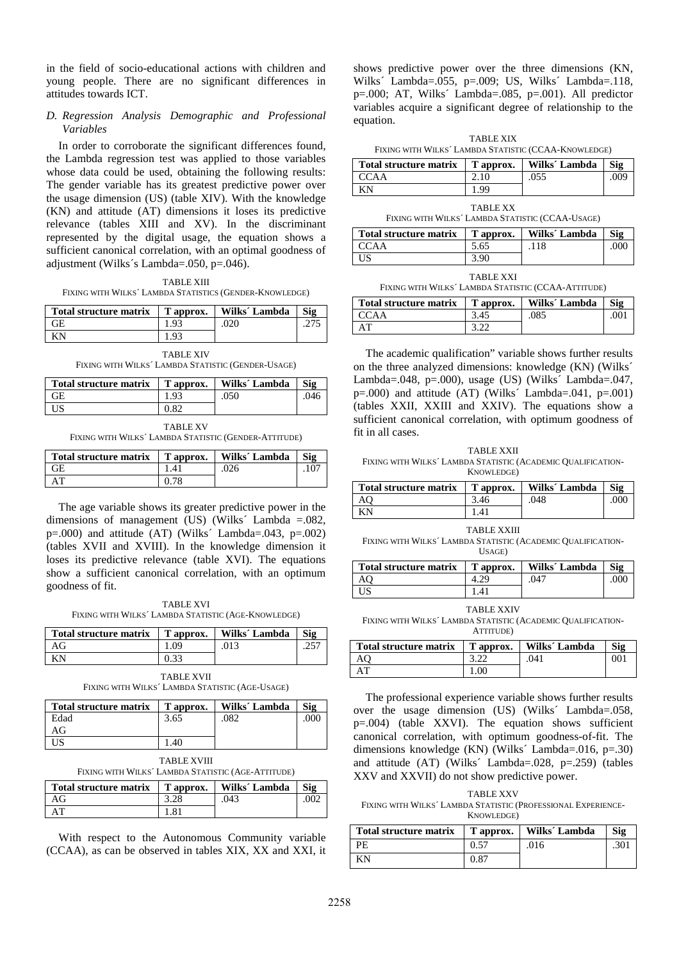in the field of socio-educational actions with children and young people. There are no significant differences in attitudes towards ICT.

### *D. Regression Analysis Demographic and Professional Variables*

In order to corroborate the significant differences found, the Lambda regression test was applied to those variables whose data could be used, obtaining the following results: The gender variable has its greatest predictive power over the usage dimension (US) (table XIV). With the knowledge (KN) and attitude (AT) dimensions it loses its predictive relevance (tables XIII and XV). In the discriminant represented by the digital usage, the equation shows a sufficient canonical correlation, with an optimal goodness of adjustment (Wilks´s Lambda=.050, p=.046).

TABLE XIII FIXING WITH WILKS´ LAMBDA STATISTICS (GENDER-KNOWLEDGE)

| Total structure matrix | T approx. | Wilks' Lambda | Sig |
|------------------------|-----------|---------------|-----|
| ŦЕ                     |           |               |     |
|                        |           |               |     |

TABLE XIV FIXING WITH WILKS´ LAMBDA STATISTIC (GENDER-USAGE)

| <b>Total structure matrix</b>                         | T approx.       | Wilks' Lambda | Sig  |
|-------------------------------------------------------|-----------------|---------------|------|
| GЕ                                                    | 1.93            | .050          | .046 |
| US                                                    | 0.82            |               |      |
| FIXING WITH WILKS' LAMBDA STATISTIC (GENDER-ATTITUDE) | <b>TABLE XV</b> |               |      |

| Total structure matrix   T approx. |      | Wilks' Lambda | Sig |
|------------------------------------|------|---------------|-----|
| <b>GE</b>                          | 1.41 | .026          |     |
| AT                                 |      |               |     |

The age variable shows its greater predictive power in the dimensions of management (US) (Wilks´ Lambda =.082,  $p=.000$  and attitude (AT) (Wilks' Lambda=.043,  $p=.002$ ) (tables XVII and XVIII). In the knowledge dimension it loses its predictive relevance (table XVI). The equations show a sufficient canonical correlation, with an optimum goodness of fit.

TABLE XVI FIXING WITH WILKS´ LAMBDA STATISTIC (AGE-KNOWLEDGE)

| Total structure matrix   T approx. | Wilks' Lambda | Sig |
|------------------------------------|---------------|-----|
|                                    |               |     |
|                                    |               |     |

TABLE XVII FIXING WITH WILKS´ LAMBDA STATISTIC (AGE-USAGE)

| <b>Total structure matrix</b> | T approx. | Wilks' Lambda | Sig |
|-------------------------------|-----------|---------------|-----|
| Edad                          | 3.65      | 082           |     |
| AG                            |           |               |     |
|                               | .40       |               |     |

TABLE XVIII FIXING WITH WILKS´ LAMBDA STATISTIC (AGE-ATTITUDE)

| TAING WITH WILKS LAMBUA STATISTIC (AGE-ATTITUDE)         |  |  |  |
|----------------------------------------------------------|--|--|--|
| Total structure matrix   T approx.   Wilks´ Lambda   Sig |  |  |  |

| ---------<br>------------ | ------------ | ------<br>----------               | ----       |
|---------------------------|--------------|------------------------------------|------------|
|                           | $-$          | 043<br>$\cdot$ v $\cdot$ v $\cdot$ | $\cdot$ vv |
| Δ΄                        |              |                                    |            |
|                           |              |                                    |            |

With respect to the Autonomous Community variable (CCAA), as can be observed in tables XIX, XX and XXI, it shows predictive power over the three dimensions (KN, Wilks´ Lambda=.055, p=.009; US, Wilks´ Lambda=.118, p=.000; AT, Wilks´ Lambda=.085, p=.001). All predictor variables acquire a significant degree of relationship to the equation.

TABLE XIX FIXING WITH WILKS´ LAMBDA STATISTIC (CCAA-KNOWLEDGE)

| Total structure matrix | T approx. | Wilks' Lambda | Sig |
|------------------------|-----------|---------------|-----|
| <b>CCAA</b>            |           | .055          | 009 |
| KΝ                     | 199       |               |     |

| <b>TABLE XX</b>                                  |
|--------------------------------------------------|
| FIXING WITH WILKS' LAMBDA STATISTIC (CCAA-USAGE) |

| Total structure matrix | T approx. | Wilks' Lambda | Sig |
|------------------------|-----------|---------------|-----|
| <b>CCAA</b>            | 5.65      | .118          | 000 |
| US                     | 3.90      |               |     |

TABLE XXI

| FIXING WITH WILKS' LAMBDA STATISTIC (CCAA-ATTITUDE) |  |
|-----------------------------------------------------|--|
|-----------------------------------------------------|--|

| Total structure matrix | T approx. | Wilks´ Lambda | Sig  |
|------------------------|-----------|---------------|------|
| <b>CCAA</b>            | 3.45      | .085          | .001 |
| AT                     |           |               |      |

The academic qualification" variable shows further results on the three analyzed dimensions: knowledge (KN) (Wilks´ Lambda=.048, p=.000), usage (US) (Wilks' Lambda=.047,  $p=.000$ ) and attitude (AT) (Wilks' Lambda=.041,  $p=.001$ ) (tables XXII, XXIII and XXIV). The equations show a sufficient canonical correlation, with optimum goodness of fit in all cases.

TABLE XXII FIXING WITH WILKS´ LAMBDA STATISTIC (ACADEMIC QUALIFICATION-KNOWLEDGE)

| <b>Total structure matrix</b> | T approx. | Wilks' Lambda | Sig  |
|-------------------------------|-----------|---------------|------|
|                               | 3.46      | .048          | .000 |
|                               |           |               |      |

TABLE XXIII

FIXING WITH WILKS´ LAMBDA STATISTIC (ACADEMIC QUALIFICATION-USAGE)

| <b>Total structure matrix</b> | T approx. | Wilks' Lambda | Sig |
|-------------------------------|-----------|---------------|-----|
|                               |           | 047           |     |
|                               |           |               |     |

TABLE **XXIV** 

FIXING WITH WILKS´ LAMBDA STATISTIC (ACADEMIC QUALIFICATION-ATTITUDE)

| Total structure matrix   T approx. | Wilks' Lambda | Sig |
|------------------------------------|---------------|-----|
|                                    | .041          | M   |
|                                    |               |     |

The professional experience variable shows further results over the usage dimension (US) (Wilks´ Lambda=.058, p=.004) (table XXVI). The equation shows sufficient canonical correlation, with optimum goodness-of-fit. The dimensions knowledge  $(KN)$  (Wilks' Lambda=.016, p=.30) and attitude (AT) (Wilks´ Lambda=.028, p=.259) (tables XXV and XXVII) do not show predictive power.

TABLE XXV FIXING WITH WILKS´ LAMBDA STATISTIC (PROFESSIONAL EXPERIENCE-KNOWLEDGE)

| <b>Total structure matrix</b> |      | T approx.   Wilks' Lambda | Sig  |
|-------------------------------|------|---------------------------|------|
| PF.                           |      | .016                      | .301 |
| ΚN                            | 0.87 |                           |      |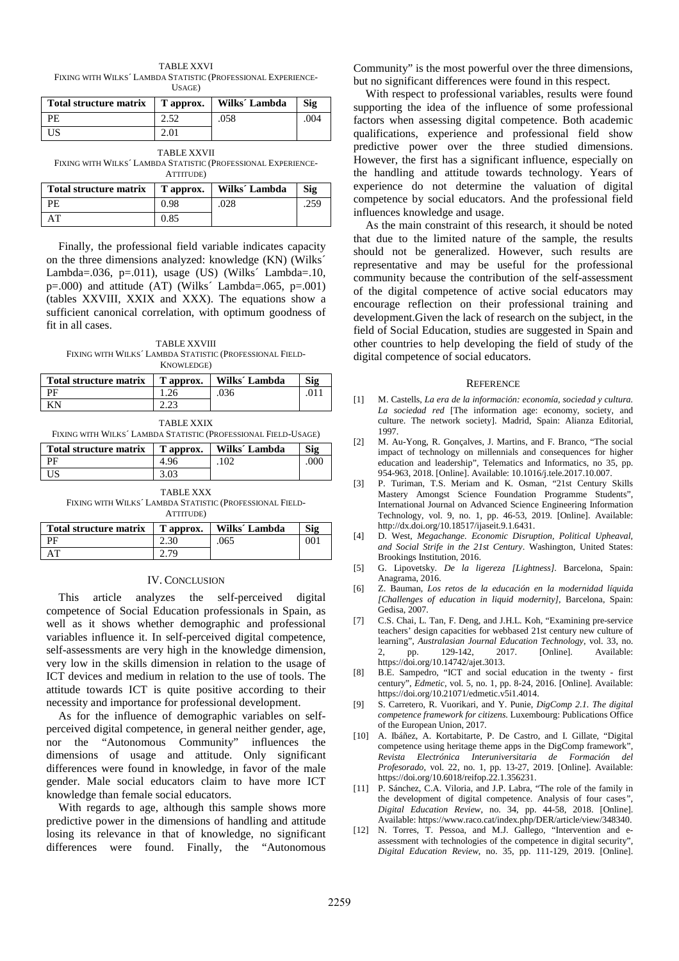TABLE XXVI FIXING WITH WILKS´ LAMBDA STATISTIC (PROFESSIONAL EXPERIENCE-USAGE)

| Total structure matrix   T approx.   Wilks' Lambda |      |      | Sig |
|----------------------------------------------------|------|------|-----|
| PE.                                                |      | .058 | 004 |
| US                                                 | 2.01 |      |     |

TABLE XXVII FIXING WITH WILKS´ LAMBDA STATISTIC (PROFESSIONAL EXPERIENCE-ATTITUDE)

| Total structure matrix | T approx. | Wilks' Lambda | Sig  |
|------------------------|-----------|---------------|------|
| PF.                    | 0.98      | .028          | .259 |
|                        | 0.85      |               |      |

Finally, the professional field variable indicates capacity on the three dimensions analyzed: knowledge (KN) (Wilks´ Lambda=.036, p=.011), usage  $(US)$  (Wilks' Lambda=.10,  $p=.000$  and attitude (AT) (Wilks' Lambda= $.065, p=.001$ ) (tables XXVIII, XXIX and XXX). The equations show a sufficient canonical correlation, with optimum goodness of fit in all cases.

TABLE XXVIII FIXING WITH WILKS´ LAMBDA STATISTIC (PROFESSIONAL FIELD-KNOWLEDGE)

| Total structure matrix | T approx. | Wilks' Lambda | $\mathbf{S}$ ig |
|------------------------|-----------|---------------|-----------------|
| - PE                   |           | .036          |                 |
| KN                     |           |               |                 |

FIXING WITH WILKS´ LAMBDA STATISTIC (PROFESSIONAL FIELD-USAGE)

| Total structure matrix | T approx. | Wilks' Lambda | Sig |
|------------------------|-----------|---------------|-----|
| РF                     | -96       | 102           | 000 |
| US                     |           |               |     |
|                        |           |               |     |

TABLE XXX

FIXING WITH WILKS´ LAMBDA STATISTIC (PROFESSIONAL FIELD-ATTITUDE)

| Total structure matrix | T approx. | Wilks' Lambda | $\mathbf{S}$ ig |
|------------------------|-----------|---------------|-----------------|
| ÞЕ                     |           | 065           | Ю               |
|                        |           |               |                 |

## IV. CONCLUSION

This article analyzes the self-perceived digital competence of Social Education professionals in Spain, as well as it shows whether demographic and professional variables influence it. In self-perceived digital competence, self-assessments are very high in the knowledge dimension, very low in the skills dimension in relation to the usage of ICT devices and medium in relation to the use of tools. The attitude towards ICT is quite positive according to their necessity and importance for professional development.

As for the influence of demographic variables on selfperceived digital competence, in general neither gender, age, nor the "Autonomous Community" influences the dimensions of usage and attitude. Only significant differences were found in knowledge, in favor of the male gender. Male social educators claim to have more ICT knowledge than female social educators.

With regards to age, although this sample shows more predictive power in the dimensions of handling and attitude losing its relevance in that of knowledge, no significant differences were found. Finally, the "Autonomous Community" is the most powerful over the three dimensions, but no significant differences were found in this respect.

With respect to professional variables, results were found supporting the idea of the influence of some professional factors when assessing digital competence. Both academic qualifications, experience and professional field show predictive power over the three studied dimensions. However, the first has a significant influence, especially on the handling and attitude towards technology. Years of experience do not determine the valuation of digital competence by social educators. And the professional field influences knowledge and usage.

As the main constraint of this research, it should be noted that due to the limited nature of the sample, the results should not be generalized. However, such results are representative and may be useful for the professional community because the contribution of the self-assessment of the digital competence of active social educators may encourage reflection on their professional training and development.Given the lack of research on the subject, in the field of Social Education, studies are suggested in Spain and other countries to help developing the field of study of the digital competence of social educators.

#### **REFERENCE**

- [1] M. Castells, *La era de la información: economía, sociedad y cultura. La sociedad red* [The information age: economy, society, and culture. The network society]. Madrid, Spain: Alianza Editorial, 1997.
- [2] M. Au-Yong, R. Gonçalves, J. Martins, and F. Branco, "The social impact of technology on millennials and consequences for higher education and leadership", Telematics and Informatics, no 35, pp. 954-963, 2018. [Online]. Available: 10.1016/j.tele.2017.10.007.
- [3] P. Turiman, T.S. Meriam and K. Osman, "21st Century Skills Mastery Amongst Science Foundation Programme Students", International Journal on Advanced Science Engineering Information Technology, vol. 9, no. 1, pp. 46-53, 2019. [Online]. Available: http://dx.doi.org/10.18517/ijaseit.9.1.6431.
- [4] D. West, *Megachange. Economic Disruption, Political Upheaval, and Social Strife in the 21st Century*. Washington, United States: Brookings Institution, 2016.
- [5] G. Lipovetsky. *De la ligereza [Lightness]*. Barcelona, Spain: Anagrama, 2016.
- [6] Z. Bauman, *Los retos de la educación en la modernidad líquida [Challenges of education in liquid modernity]*, Barcelona, Spain: Gedisa, 2007.
- [7] C.S. Chai, L. Tan, F. Deng, and J.H.L. Koh, "Examining pre-service teachers' design capacities for webbased 21st century new culture of learning", *Australasian Journal Education Technology*, vol. 33, no. 2, pp. 129-142, 2017. [Online]. Available: https://doi.org/10.14742/ajet.3013.
- [8] B.E. Sampedro, "ICT and social education in the twenty first century", *Edmetic*, vol. 5, no. 1, pp. 8-24, 2016. [Online]. Available: https://doi.org/10.21071/edmetic.v5i1.4014.
- [9] S. Carretero, R. Vuorikari, and Y. Punie, *DigComp 2.1. The digital competence framework for citizens*. Luxembourg: Publications Office of the European Union, 2017.
- [10] A. Ibáñez, A. Kortabitarte, P. De Castro, and I. Gillate, "Digital competence using heritage theme apps in the DigComp framework", *Revista Electrónica Interuniversitaria de Formación del Profesorado*, vol. 22, no. 1, pp. 13-27, 2019. [Online]. Available: https://doi.org/10.6018/reifop.22.1.356231.
- [11] P. Sánchez, C.A. Viloria, and J.P. Labra, "The role of the family in the development of digital competence. Analysis of four cases*", Digital Education Review*, no. 34, pp. 44-58, 2018. [Online]. Available: https://www.raco.cat/index.php/DER/article/view/348340.
- [12] N. Torres, T. Pessoa, and M.J. Gallego, "Intervention and eassessment with technologies of the competence in digital security", *Digital Education Review*, no. 35, pp. 111-129, 2019. [Online].